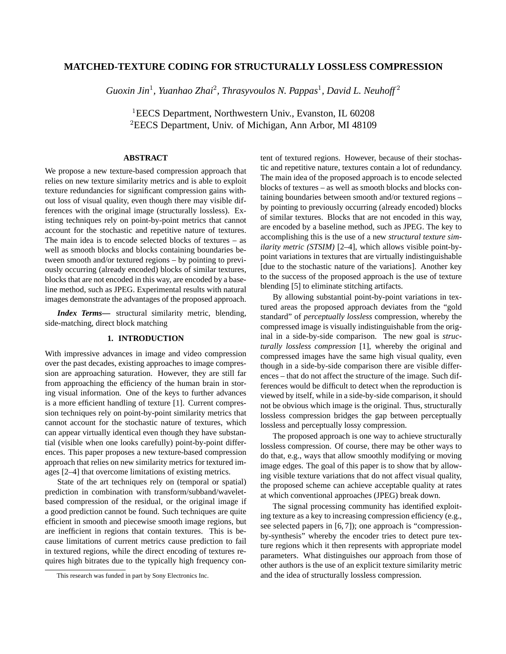## **MATCHED-TEXTURE CODING FOR STRUCTURALLY LOSSLESS COMPRESSION**

*Guoxin Jin*<sup>1</sup> *, Yuanhao Zhai*<sup>2</sup> *, Thrasyvoulos N. Pappas*<sup>1</sup> *, David L. Neuhoff* <sup>2</sup>

<sup>1</sup>EECS Department, Northwestern Univ., Evanston, IL 60208 <sup>2</sup>EECS Department, Univ. of Michigan, Ann Arbor, MI 48109

## **ABSTRACT**

We propose a new texture-based compression approach that relies on new texture similarity metrics and is able to exploit texture redundancies for significant compression gains without loss of visual quality, even though there may visible differences with the original image (structurally lossless). Existing techniques rely on point-by-point metrics that cannot account for the stochastic and repetitive nature of textures. The main idea is to encode selected blocks of textures – as well as smooth blocks and blocks containing boundaries between smooth and/or textured regions – by pointing to previously occurring (already encoded) blocks of similar textures, blocks that are not encoded in this way, are encoded by a baseline method, such as JPEG. Experimental results with natural images demonstrate the advantages of the proposed approach.

*Index Terms***—** structural similarity metric, blending, side-matching, direct block matching

### **1. INTRODUCTION**

With impressive advances in image and video compression over the past decades, existing approaches to image compression are approaching saturation. However, they are still far from approaching the efficiency of the human brain in storing visual information. One of the keys to further advances is a more efficient handling of texture [1]. Current compression techniques rely on point-by-point similarity metrics that cannot account for the stochastic nature of textures, which can appear virtually identical even though they have substantial (visible when one looks carefully) point-by-point differences. This paper proposes a new texture-based compression approach that relies on new similarity metrics for textured images [2–4] that overcome limitations of existing metrics.

State of the art techniques rely on (temporal or spatial) prediction in combination with transform/subband/waveletbased compression of the residual, or the original image if a good prediction cannot be found. Such techniques are quite efficient in smooth and piecewise smooth image regions, but are inefficient in regions that contain textures. This is because limitations of current metrics cause prediction to fail in textured regions, while the direct encoding of textures requires high bitrates due to the typically high frequency content of textured regions. However, because of their stochastic and repetitive nature, textures contain a lot of redundancy. The main idea of the proposed approach is to encode selected blocks of textures – as well as smooth blocks and blocks containing boundaries between smooth and/or textured regions – by pointing to previously occurring (already encoded) blocks of similar textures. Blocks that are not encoded in this way, are encoded by a baseline method, such as JPEG. The key to accomplishing this is the use of a new *structural texture similarity metric (STSIM)* [2–4], which allows visible point-bypoint variations in textures that are virtually indistinguishable [due to the stochastic nature of the variations]. Another key to the success of the proposed approach is the use of texture blending [5] to eliminate stitching artifacts.

By allowing substantial point-by-point variations in textured areas the proposed approach deviates from the "gold standard" of *perceptually lossless* compression, whereby the compressed image is visually indistinguishable from the original in a side-by-side comparison. The new goal is *structurally lossless compression* [1], whereby the original and compressed images have the same high visual quality, even though in a side-by-side comparison there are visible differences – that do not affect the structure of the image. Such differences would be difficult to detect when the reproduction is viewed by itself, while in a side-by-side comparison, it should not be obvious which image is the original. Thus, structurally lossless compression bridges the gap between perceptually lossless and perceptually lossy compression.

The proposed approach is one way to achieve structurally lossless compression. Of course, there may be other ways to do that, e.g., ways that allow smoothly modifying or moving image edges. The goal of this paper is to show that by allowing visible texture variations that do not affect visual quality, the proposed scheme can achieve acceptable quality at rates at which conventional approaches (JPEG) break down.

The signal processing community has identified exploiting texture as a key to increasing compression efficiency (e.g., see selected papers in  $[6, 7]$ ); one approach is "compressionby-synthesis" whereby the encoder tries to detect pure texture regions which it then represents with appropriate model parameters. What distinguishes our approach from those of other authors is the use of an explicit texture similarity metric and the idea of structurally lossless compression.

This research was funded in part by Sony Electronics Inc.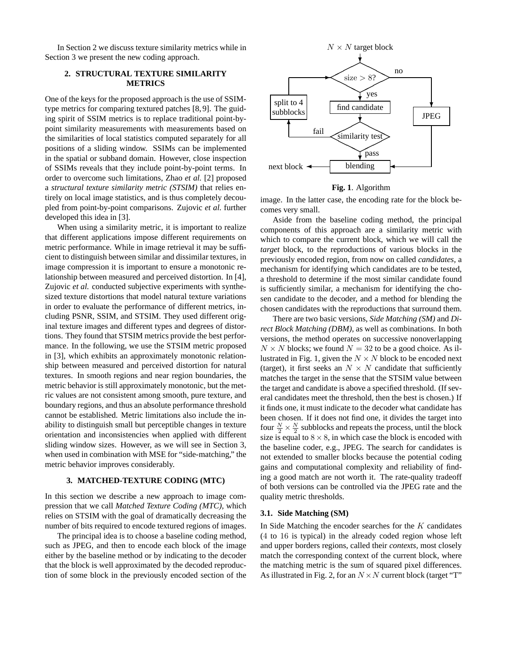In Section 2 we discuss texture similarity metrics while in Section 3 we present the new coding approach.

# **2. STRUCTURAL TEXTURE SIMILARITY METRICS**

One of the keys for the proposed approach is the use of SSIMtype metrics for comparing textured patches [8, 9]. The guiding spirit of SSIM metrics is to replace traditional point-bypoint similarity measurements with measurements based on the similarities of local statistics computed separately for all positions of a sliding window. SSIMs can be implemented in the spatial or subband domain. However, close inspection of SSIMs reveals that they include point-by-point terms. In order to overcome such limitations, Zhao *et al.* [2] proposed a *structural texture similarity metric (STSIM)* that relies entirely on local image statistics, and is thus completely decoupled from point-by-point comparisons. Zujovic *et al.* further developed this idea in [3].

When using a similarity metric, it is important to realize that different applications impose different requirements on metric performance. While in image retrieval it may be sufficient to distinguish between similar and dissimilar textures, in image compression it is important to ensure a monotonic relationship between measured and perceived distortion. In [4], Zujovic *et al.* conducted subjective experiments with synthesized texture distortions that model natural texture variations in order to evaluate the performance of different metrics, including PSNR, SSIM, and STSIM. They used different original texture images and different types and degrees of distortions. They found that STSIM metrics provide the best performance. In the following, we use the STSIM metric proposed in [3], which exhibits an approximately monotonic relationship between measured and perceived distortion for natural textures. In smooth regions and near region boundaries, the metric behavior is still approximately monotonic, but the metric values are not consistent among smooth, pure texture, and boundary regions, and thus an absolute performance threshold cannot be established. Metric limitations also include the inability to distinguish small but perceptible changes in texture orientation and inconsistencies when applied with different sliding window sizes. However, as we will see in Section 3, when used in combination with MSE for "side-matching," the metric behavior improves considerably.

## **3. MATCHED-TEXTURE CODING (MTC)**

In this section we describe a new approach to image compression that we call *Matched Texture Coding (MTC),* which relies on STSIM with the goal of dramatically decreasing the number of bits required to encode textured regions of images.

The principal idea is to choose a baseline coding method, such as JPEG, and then to encode each block of the image either by the baseline method or by indicating to the decoder that the block is well approximated by the decoded reproduction of some block in the previously encoded section of the



**Fig. 1**. Algorithm

image. In the latter case, the encoding rate for the block becomes very small.

Aside from the baseline coding method, the principal components of this approach are a similarity metric with which to compare the current block, which we will call the *target* block, to the reproductions of various blocks in the previously encoded region, from now on called *candidates,* a mechanism for identifying which candidates are to be tested, a threshold to determine if the most similar candidate found is sufficiently similar, a mechanism for identifying the chosen candidate to the decoder, and a method for blending the chosen candidates with the reproductions that surround them.

There are two basic versions, *Side Matching (SM)* and *Direct Block Matching (DBM),* as well as combinations. In both versions, the method operates on successive nonoverlapping  $N \times N$  blocks; we found  $N = 32$  to be a good choice. As illustrated in Fig. 1, given the  $N \times N$  block to be encoded next (target), it first seeks an  $N \times N$  candidate that sufficiently matches the target in the sense that the STSIM value between the target and candidate is above a specified threshold. (If several candidates meet the threshold, then the best is chosen.) If it finds one, it must indicate to the decoder what candidate has been chosen. If it does not find one, it divides the target into four  $\frac{N}{2} \times \frac{N}{2}$  subblocks and repeats the process, until the block size is equal to  $8 \times 8$ , in which case the block is encoded with the baseline coder, e.g., JPEG. The search for candidates is not extended to smaller blocks because the potential coding gains and computational complexity and reliability of finding a good match are not worth it. The rate-quality tradeoff of both versions can be controlled via the JPEG rate and the quality metric thresholds.

### **3.1. Side Matching (SM)**

In Side Matching the encoder searches for the  $K$  candidates (4 to 16 is typical) in the already coded region whose left and upper borders regions, called their *contexts,* most closely match the corresponding context of the current block, where the matching metric is the sum of squared pixel differences. As illustrated in Fig. 2, for an  $N \times N$  current block (target "T"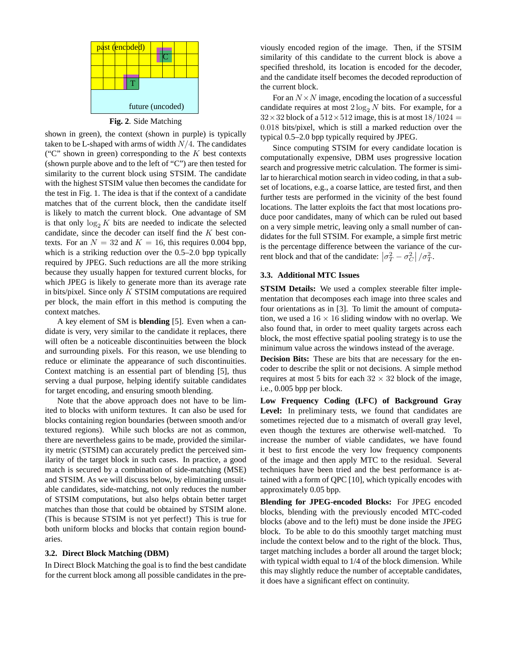

## **Fig. 2**. Side Matching

shown in green), the context (shown in purple) is typically taken to be L-shaped with arms of width  $N/4$ . The candidates ("C" shown in green) corresponding to the  $K$  best contexts (shown purple above and to the left of "C") are then tested for similarity to the current block using STSIM. The candidate with the highest STSIM value then becomes the candidate for the test in Fig. 1. The idea is that if the context of a candidate matches that of the current block, then the candidate itself is likely to match the current block. One advantage of SM is that only  $\log_2 K$  bits are needed to indicate the selected candidate, since the decoder can itself find the K best contexts. For an  $N = 32$  and  $K = 16$ , this requires 0.004 bpp, which is a striking reduction over the 0.5–2.0 bpp typically required by JPEG. Such reductions are all the more striking because they usually happen for textured current blocks, for which JPEG is likely to generate more than its average rate in bits/pixel. Since only  $K$  STSIM computations are required per block, the main effort in this method is computing the context matches.

A key element of SM is **blending** [5]. Even when a candidate is very, very similar to the candidate it replaces, there will often be a noticeable discontinuities between the block and surrounding pixels. For this reason, we use blending to reduce or eliminate the appearance of such discontinuities. Context matching is an essential part of blending [5], thus serving a dual purpose, helping identify suitable candidates for target encoding, and ensuring smooth blending.

Note that the above approach does not have to be limited to blocks with uniform textures. It can also be used for blocks containing region boundaries (between smooth and/or textured regions). While such blocks are not as common, there are nevertheless gains to be made, provided the similarity metric (STSIM) can accurately predict the perceived similarity of the target block in such cases. In practice, a good match is secured by a combination of side-matching (MSE) and STSIM. As we will discuss below, by eliminating unsuitable candidates, side-matching, not only reduces the number of STSIM computations, but also helps obtain better target matches than those that could be obtained by STSIM alone. (This is because STSIM is not yet perfect!) This is true for both uniform blocks and blocks that contain region boundaries.

### **3.2. Direct Block Matching (DBM)**

In Direct Block Matching the goal is to find the best candidate for the current block among all possible candidates in the previously encoded region of the image. Then, if the STSIM similarity of this candidate to the current block is above a specified threshold, its location is encoded for the decoder, and the candidate itself becomes the decoded reproduction of the current block.

For an  $N \times N$  image, encoding the location of a successful candidate requires at most  $2\log_2 N$  bits. For example, for a  $32 \times 32$  block of a  $512 \times 512$  image, this is at most  $18/1024 =$ 0.018 bits/pixel, which is still a marked reduction over the typical 0.5–2.0 bpp typically required by JPEG.

Since computing STSIM for every candidate location is computationally expensive, DBM uses progressive location search and progressive metric calculation. The former is similar to hierarchical motion search in video coding, in that a subset of locations, e.g., a coarse lattice, are tested first, and then further tests are performed in the vicinity of the best found locations. The latter exploits the fact that most locations produce poor candidates, many of which can be ruled out based on a very simple metric, leaving only a small number of candidates for the full STSIM. For example, a simple first metric is the percentage difference between the variance of the current block and that of the candidate:  $\left|\sigma_T^2 - \sigma_C^2\right|/\sigma_T^2$ .

### **3.3. Additional MTC Issues**

**STSIM Details:** We used a complex steerable filter implementation that decomposes each image into three scales and four orientations as in [3]. To limit the amount of computation, we used a  $16 \times 16$  sliding window with no overlap. We also found that, in order to meet quality targets across each block, the most effective spatial pooling strategy is to use the minimum value across the windows instead of the average.

**Decision Bits:** These are bits that are necessary for the encoder to describe the split or not decisions. A simple method requires at most 5 bits for each  $32 \times 32$  block of the image, i.e., 0.005 bpp per block.

**Low Frequency Coding (LFC) of Background Gray** Level: In preliminary tests, we found that candidates are sometimes rejected due to a mismatch of overall gray level, even though the textures are otherwise well-matched. To increase the number of viable candidates, we have found it best to first encode the very low frequency components of the image and then apply MTC to the residual. Several techniques have been tried and the best performance is attained with a form of QPC [10], which typically encodes with approximately 0.05 bpp.

**Blending for JPEG-encoded Blocks:** For JPEG encoded blocks, blending with the previously encoded MTC-coded blocks (above and to the left) must be done inside the JPEG block. To be able to do this smoothly target matching must include the context below and to the right of the block. Thus, target matching includes a border all around the target block; with typical width equal to 1/4 of the block dimension. While this may slightly reduce the number of acceptable candidates, it does have a significant effect on continuity.